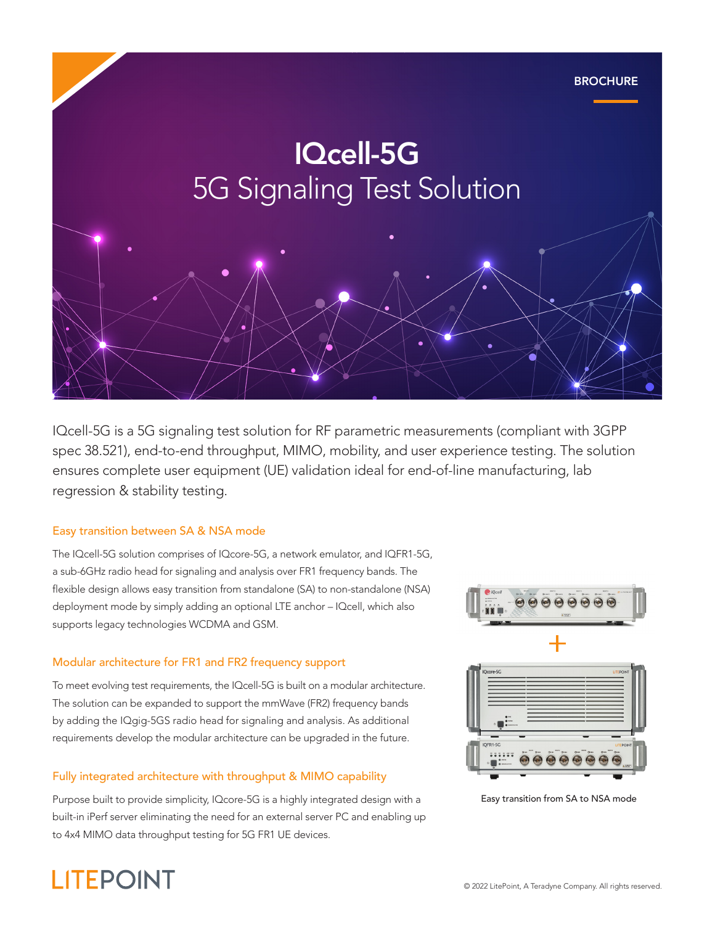

IQcell-5G is a 5G signaling test solution for RF parametric measurements (compliant with 3GPP spec 38.521), end-to-end throughput, MIMO, mobility, and user experience testing. The solution ensures complete user equipment (UE) validation ideal for end-of-line manufacturing, lab regression & stability testing.

#### Easy transition between SA & NSA mode

The IQcell-5G solution comprises of IQcore-5G, a network emulator, and IQFR1-5G, a sub-6GHz radio head for signaling and analysis over FR1 frequency bands. The flexible design allows easy transition from standalone (SA) to non-standalone (NSA) deployment mode by simply adding an optional LTE anchor – IQcell, which also supports legacy technologies WCDMA and GSM.

#### Modular architecture for FR1 and FR2 frequency support

To meet evolving test requirements, the IQcell-5G is built on a modular architecture. The solution can be expanded to support the mmWave (FR2) frequency bands by adding the IQgig-5GS radio head for signaling and analysis. As additional requirements develop the modular architecture can be upgraded in the future.

#### Fully integrated architecture with throughput & MIMO capability

Purpose built to provide simplicity, IQcore-5G is a highly integrated design with a built-in iPerf server eliminating the need for an external server PC and enabling up to 4x4 MIMO data throughput testing for 5G FR1 UE devices.





Easy transition from SA to NSA mode

# **LITEPOINT**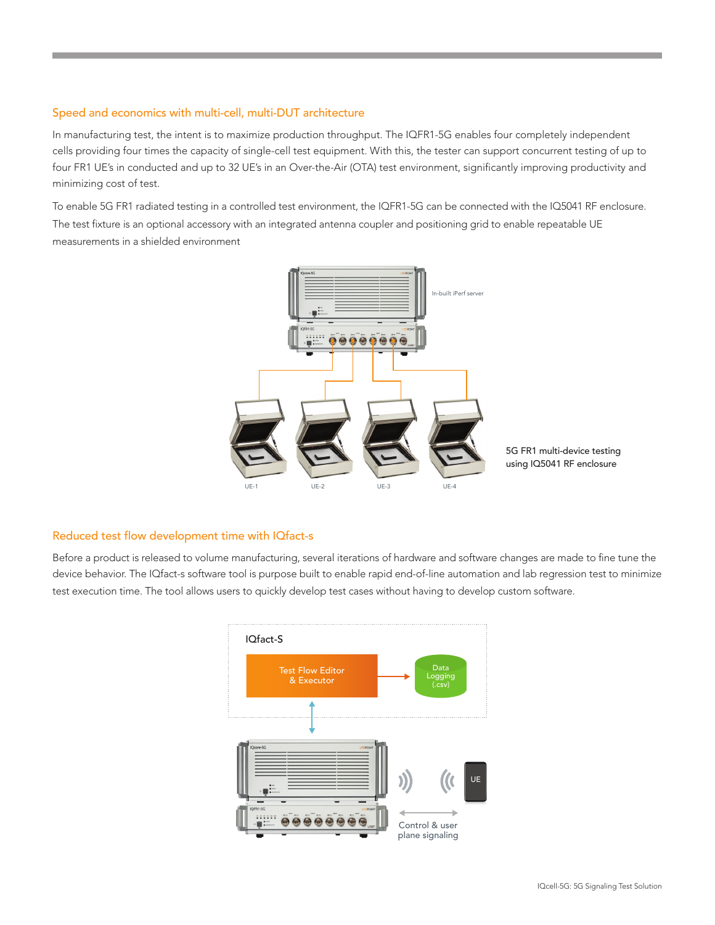#### Speed and economics with multi-cell, multi-DUT architecture

In manufacturing test, the intent is to maximize production throughput. The IQFR1-5G enables four completely independent cells providing four times the capacity of single-cell test equipment. With this, the tester can support concurrent testing of up to four FR1 UE's in conducted and up to 32 UE's in an Over-the-Air (OTA) test environment, significantly improving productivity and minimizing cost of test.

To enable 5G FR1 radiated testing in a controlled test environment, the IQFR1-5G can be connected with the IQ5041 RF enclosure. The test fixture is an optional accessory with an integrated antenna coupler and positioning grid to enable repeatable UE measurements in a shielded environment



#### Reduced test flow development time with IQfact-s

Before a product is released to volume manufacturing, several iterations of hardware and software changes are made to fine tune the device behavior. The IQfact-s software tool is purpose built to enable rapid end-of-line automation and lab regression test to minimize test execution time. The tool allows users to quickly develop test cases without having to develop custom software.